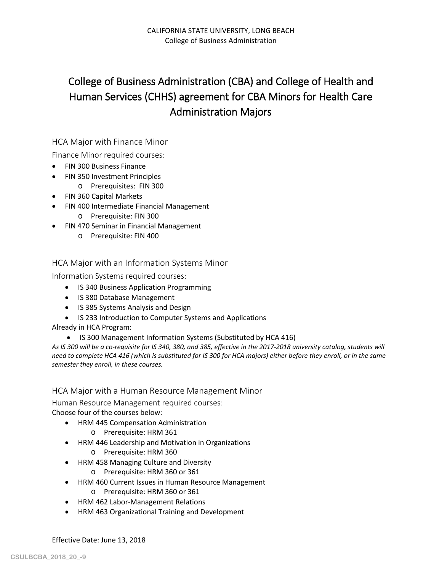# College of Business Administration (CBA) and College of Health and Human Services (CHHS) agreement for CBA Minors for Health Care Administration Majors

## HCA Major with Finance Minor

Finance Minor required courses:

- FIN 300 Business Finance
- FIN 350 Investment Principles
- o Prerequisites: FIN 300
- FIN 360 Capital Markets
- FIN 400 Intermediate Financial Management
	- o Prerequisite: FIN 300
- FIN 470 Seminar in Financial Management
	- o Prerequisite: FIN 400

## HCA Major with an Information Systems Minor

Information Systems required courses:

- IS 340 Business Application Programming
- IS 380 Database Management
- IS 385 Systems Analysis and Design
- IS 233 Introduction to Computer Systems and Applications

#### Already in HCA Program:

• IS 300 Management Information Systems (Substituted by HCA 416)

*As IS 300 will be a co-requisite for IS 340, 380, and 385, effective in the 2017-2018 university catalog, students will need to complete HCA 416 (which is substituted for IS 300 for HCA majors) either before they enroll, or in the same semester they enroll, in these courses.*

## HCA Major with a Human Resource Management Minor

Human Resource Management required courses:

Choose four of the courses below:

- HRM 445 Compensation Administration
	- o Prerequisite: HRM 361
- HRM 446 Leadership and Motivation in Organizations
	- o Prerequisite: HRM 360
- HRM 458 Managing Culture and Diversity
	- o Prerequisite: HRM 360 or 361
- HRM 460 Current Issues in Human Resource Management
	- o Prerequisite: HRM 360 or 361
- HRM 462 Labor-Management Relations
- HRM 463 Organizational Training and Development